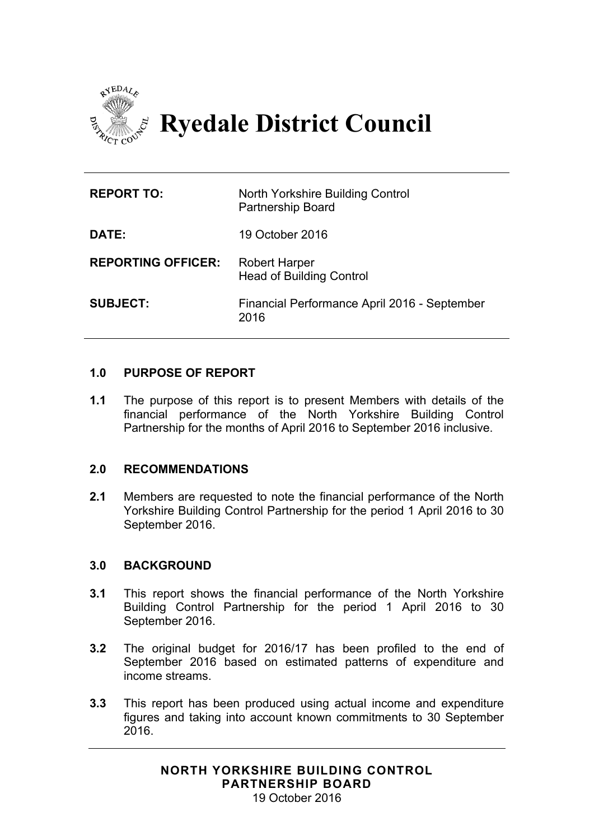

# **Ryedale District Council**

| <b>REPORT TO:</b>         | North Yorkshire Building Control<br><b>Partnership Board</b> |
|---------------------------|--------------------------------------------------------------|
| DATE:                     | 19 October 2016                                              |
| <b>REPORTING OFFICER:</b> | <b>Robert Harper</b><br><b>Head of Building Control</b>      |
| <b>SUBJECT:</b>           | Financial Performance April 2016 - September<br>2016         |

## **1.0 PURPOSE OF REPORT**

**1.1** The purpose of this report is to present Members with details of the financial performance of the North Yorkshire Building Control Partnership for the months of April 2016 to September 2016 inclusive.

#### **2.0 RECOMMENDATIONS**

**2.1** Members are requested to note the financial performance of the North Yorkshire Building Control Partnership for the period 1 April 2016 to 30 September 2016.

#### **3.0 BACKGROUND**

- **3.1** This report shows the financial performance of the North Yorkshire Building Control Partnership for the period 1 April 2016 to 30 September 2016.
- **3.2** The original budget for 2016/17 has been profiled to the end of September 2016 based on estimated patterns of expenditure and income streams.
- **3.3** This report has been produced using actual income and expenditure figures and taking into account known commitments to 30 September 2016.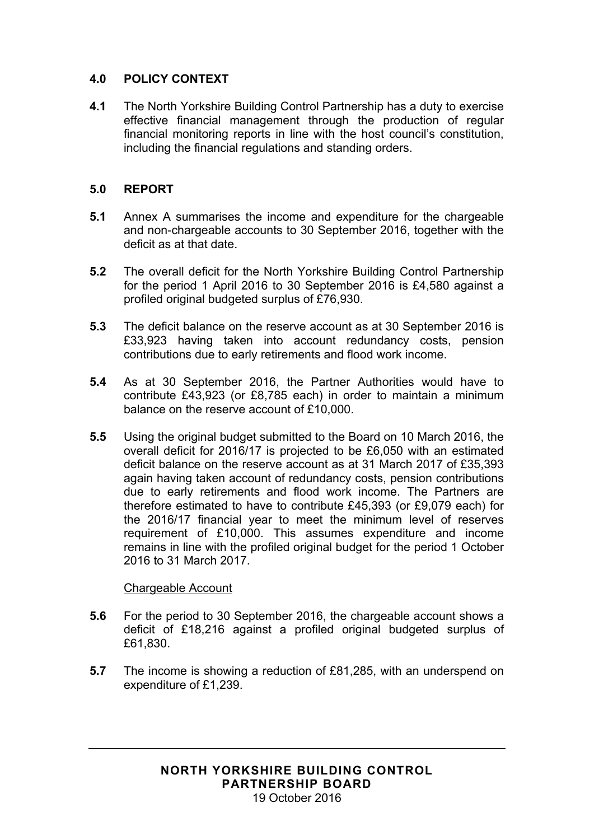# **4.0 POLICY CONTEXT**

**4.1** The North Yorkshire Building Control Partnership has a duty to exercise effective financial management through the production of regular financial monitoring reports in line with the host council's constitution, including the financial regulations and standing orders.

#### **5.0 REPORT**

- **5.1** Annex A summarises the income and expenditure for the chargeable and non-chargeable accounts to 30 September 2016, together with the deficit as at that date.
- **5.2** The overall deficit for the North Yorkshire Building Control Partnership for the period 1 April 2016 to 30 September 2016 is £4,580 against a profiled original budgeted surplus of £76,930.
- **5.3** The deficit balance on the reserve account as at 30 September 2016 is £33,923 having taken into account redundancy costs, pension contributions due to early retirements and flood work income.
- **5.4** As at 30 September 2016, the Partner Authorities would have to contribute £43,923 (or £8,785 each) in order to maintain a minimum balance on the reserve account of £10,000.
- **5.5** Using the original budget submitted to the Board on 10 March 2016, the overall deficit for 2016/17 is projected to be £6,050 with an estimated deficit balance on the reserve account as at 31 March 2017 of £35,393 again having taken account of redundancy costs, pension contributions due to early retirements and flood work income. The Partners are therefore estimated to have to contribute £45,393 (or £9,079 each) for the 2016/17 financial year to meet the minimum level of reserves requirement of £10,000. This assumes expenditure and income remains in line with the profiled original budget for the period 1 October 2016 to 31 March 2017.

#### Chargeable Account

- **5.6** For the period to 30 September 2016, the chargeable account shows a deficit of £18,216 against a profiled original budgeted surplus of £61,830.
- **5.7** The income is showing a reduction of £81,285, with an underspend on expenditure of £1,239.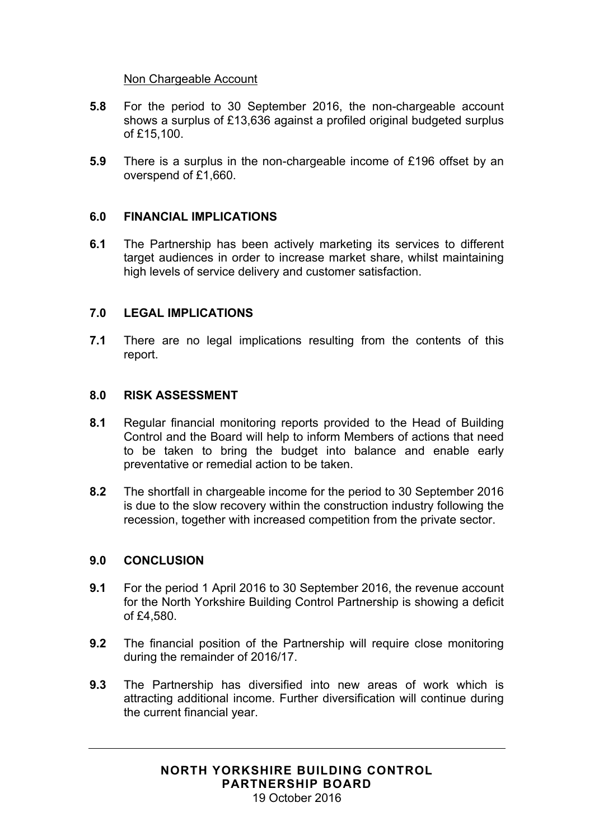#### Non Chargeable Account

- **5.8** For the period to 30 September 2016, the non-chargeable account shows a surplus of £13,636 against a profiled original budgeted surplus of £15,100.
- **5.9** There is a surplus in the non-chargeable income of £196 offset by an overspend of £1,660.

#### **6.0 FINANCIAL IMPLICATIONS**

**6.1** The Partnership has been actively marketing its services to different target audiences in order to increase market share, whilst maintaining high levels of service delivery and customer satisfaction.

#### **7.0 LEGAL IMPLICATIONS**

**7.1** There are no legal implications resulting from the contents of this report.

#### **8.0 RISK ASSESSMENT**

- **8.1** Regular financial monitoring reports provided to the Head of Building Control and the Board will help to inform Members of actions that need to be taken to bring the budget into balance and enable early preventative or remedial action to be taken.
- **8.2** The shortfall in chargeable income for the period to 30 September 2016 is due to the slow recovery within the construction industry following the recession, together with increased competition from the private sector.

#### **9.0 CONCLUSION**

- **9.1** For the period 1 April 2016 to 30 September 2016, the revenue account for the North Yorkshire Building Control Partnership is showing a deficit of £4,580.
- **9.2** The financial position of the Partnership will require close monitoring during the remainder of 2016/17.
- **9.3** The Partnership has diversified into new areas of work which is attracting additional income. Further diversification will continue during the current financial year.